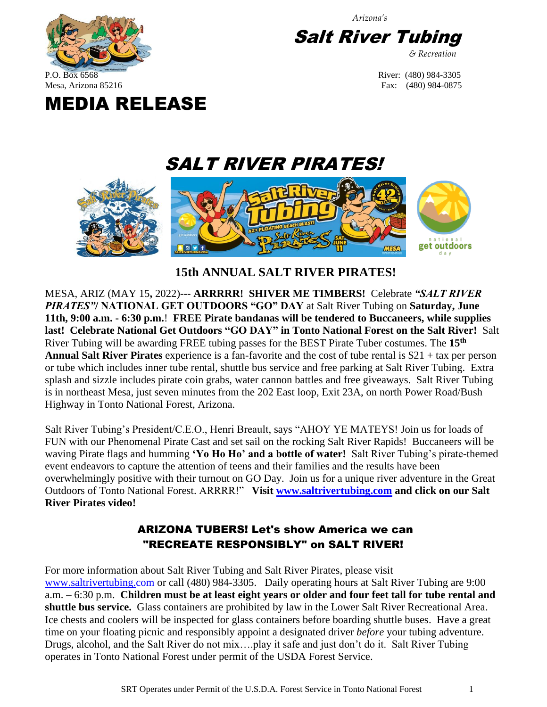

*Arizona's*

**Salt River Tubing** 

*& Recreation*

## Mesa, Arizona 85216 Fax: (480) 984-0875 MEDIA RELEASE



 **15th ANNUAL SALT RIVER PIRATES!**

MESA, ARIZ (MAY 15**,** 2022)--- **ARRRRR! SHIVER ME TIMBERS!** Celebrate *"SALT RIVER PIRATES"***/ NATIONAL GET OUTDOORS "GO" DAY** at Salt River Tubing on **Saturday, June 11th, 9:00 a.m. - 6:30 p.m.**! **FREE Pirate bandanas will be tendered to Buccaneers, while supplies last! Celebrate National Get Outdoors "GO DAY" in Tonto National Forest on the Salt River!** Salt River Tubing will be awarding FREE tubing passes for the BEST Pirate Tuber costumes. The **15th Annual Salt River Pirates** experience is a fan-favorite and the cost of tube rental is \$21 + tax per person or tube which includes inner tube rental, shuttle bus service and free parking at Salt River Tubing. Extra splash and sizzle includes pirate coin grabs, water cannon battles and free giveaways. Salt River Tubing is in northeast Mesa, just seven minutes from the 202 East loop, Exit 23A, on north Power Road/Bush Highway in Tonto National Forest, Arizona.

Salt River Tubing's President/C.E.O., Henri Breault, says "AHOY YE MATEYS! Join us for loads of FUN with our Phenomenal Pirate Cast and set sail on the rocking Salt River Rapids! Buccaneers will be waving Pirate flags and humming **'Yo Ho Ho' and a bottle of water!** Salt River Tubing's pirate-themed event endeavors to capture the attention of teens and their families and the results have been overwhelmingly positive with their turnout on GO Day. Join us for a unique river adventure in the Great Outdoors of Tonto National Forest. ARRRR!" **Visit [www.saltrivertubing.com](http://www.saltrivertubing.com/) and click on our Salt River Pirates video!** 

## ARIZONA TUBERS! Let's show America we can "RECREATE RESPONSIBLY" on SALT RIVER!

For more information about Salt River Tubing and Salt River Pirates, please visit [www.saltrivertubing.com](http://www.saltrivertubing.com/) or call (480) 984-3305. Daily operating hours at Salt River Tubing are 9:00 a.m. – 6:30 p.m. **Children must be at least eight years or older and four feet tall for tube rental and shuttle bus service.** Glass containers are prohibited by law in the Lower Salt River Recreational Area. Ice chests and coolers will be inspected for glass containers before boarding shuttle buses. Have a great time on your floating picnic and responsibly appoint a designated driver *before* your tubing adventure. Drugs, alcohol, and the Salt River do not mix….play it safe and just don't do it. Salt River Tubing operates in Tonto National Forest under permit of the USDA Forest Service.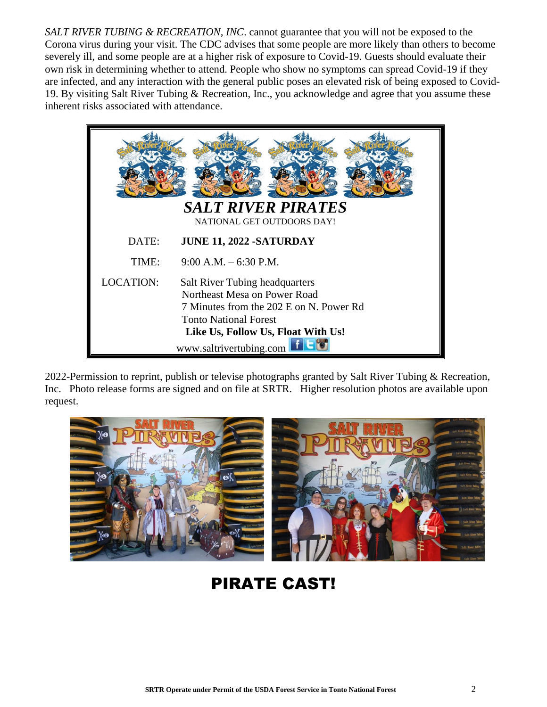*SALT RIVER TUBING & RECREATION, INC*. cannot guarantee that you will not be exposed to the Corona virus during your visit. The CDC advises that some people are more likely than others to become severely ill, and some people are at a higher risk of exposure to Covid-19. Guests should evaluate their own risk in determining whether to attend. People who show no symptoms can spread Covid-19 if they are infected, and any interaction with the general public poses an elevated risk of being exposed to Covid-19. By visiting Salt River Tubing & Recreation, Inc., you acknowledge and agree that you assume these inherent risks associated with attendance.

| <b>SALT RIVER PIRATES</b><br>NATIONAL GET OUTDOORS DAY! |                                                                                                                                                                                                                   |
|---------------------------------------------------------|-------------------------------------------------------------------------------------------------------------------------------------------------------------------------------------------------------------------|
| DATE:                                                   | <b>JUNE 11, 2022 -SATURDAY</b>                                                                                                                                                                                    |
| TIME:                                                   | $9:00$ A.M. $-6:30$ P.M.                                                                                                                                                                                          |
| <b>LOCATION:</b>                                        | <b>Salt River Tubing headquarters</b><br>Northeast Mesa on Power Road<br>7 Minutes from the 202 E on N. Power Rd<br><b>Tonto National Forest</b><br>Like Us, Follow Us, Float With Us!<br>www.saltrivertubing.com |

2022-Permission to reprint, publish or televise photographs granted by Salt River Tubing & Recreation, Inc. Photo release forms are signed and on file at SRTR. Higher resolution photos are available upon request.



## PIRATE CAST!